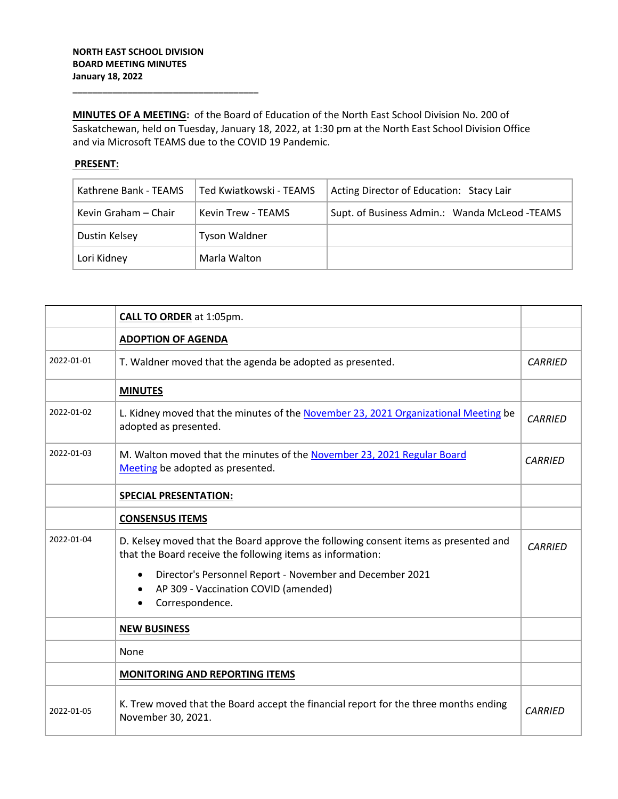**\_\_\_\_\_\_\_\_\_\_\_\_\_\_\_\_\_\_\_\_\_\_\_\_\_\_\_\_\_\_\_\_\_\_\_\_\_**

**MINUTES OF A MEETING:** of the Board of Education of the North East School Division No. 200 of Saskatchewan, held on Tuesday, January 18, 2022, at 1:30 pm at the North East School Division Office and via Microsoft TEAMS due to the COVID 19 Pandemic.

## **PRESENT:**

| Kathrene Bank - TEAMS | Ted Kwiatkowski - TEAMS   | Acting Director of Education: Stacy Lair      |
|-----------------------|---------------------------|-----------------------------------------------|
| Kevin Graham – Chair  | <b>Kevin Trew - TEAMS</b> | Supt. of Business Admin.: Wanda McLeod -TEAMS |
| Dustin Kelsey         | <b>Tyson Waldner</b>      |                                               |
| Lori Kidney           | Marla Walton              |                                               |

|            | <b>CALL TO ORDER</b> at 1:05pm.                                                                                                                   |                |
|------------|---------------------------------------------------------------------------------------------------------------------------------------------------|----------------|
|            | <b>ADOPTION OF AGENDA</b>                                                                                                                         |                |
| 2022-01-01 | T. Waldner moved that the agenda be adopted as presented.                                                                                         | <b>CARRIED</b> |
|            | <b>MINUTES</b>                                                                                                                                    |                |
| 2022-01-02 | L. Kidney moved that the minutes of the November 23, 2021 Organizational Meeting be<br>adopted as presented.                                      | <b>CARRIED</b> |
| 2022-01-03 | M. Walton moved that the minutes of the November 23, 2021 Regular Board<br>Meeting be adopted as presented.                                       | <b>CARRIED</b> |
|            | <b>SPECIAL PRESENTATION:</b>                                                                                                                      |                |
|            | <b>CONSENSUS ITEMS</b>                                                                                                                            |                |
| 2022-01-04 | D. Kelsey moved that the Board approve the following consent items as presented and<br>that the Board receive the following items as information: | <b>CARRIED</b> |
|            | Director's Personnel Report - November and December 2021<br>$\bullet$<br>AP 309 - Vaccination COVID (amended)                                     |                |
|            | Correspondence.                                                                                                                                   |                |
|            | <b>NEW BUSINESS</b>                                                                                                                               |                |
|            | None                                                                                                                                              |                |
|            | <b>MONITORING AND REPORTING ITEMS</b>                                                                                                             |                |
| 2022-01-05 | K. Trew moved that the Board accept the financial report for the three months ending<br>November 30, 2021.                                        | <b>CARRIED</b> |